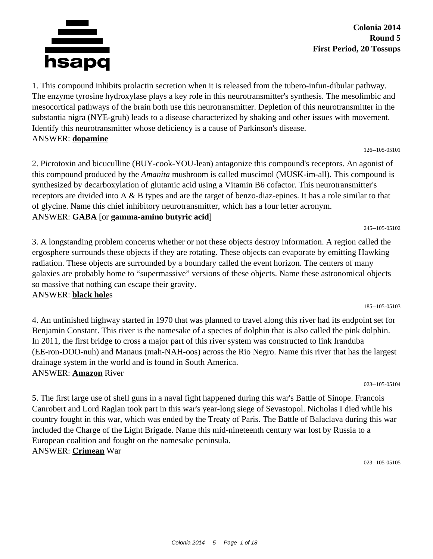

**Colonia 2014 Round 5 First Period, 20 Tossups**

126--105-05101

245--105-05102

185--105-05103

1. This compound inhibits prolactin secretion when it is released from the tubero-infun-dibular pathway. The enzyme tyrosine hydroxylase plays a key role in this neurotransmitter's synthesis. The mesolimbic and mesocortical pathways of the brain both use this neurotransmitter. Depletion of this neurotransmitter in the substantia nigra (NYE-gruh) leads to a disease characterized by shaking and other issues with movement. Identify this neurotransmitter whose deficiency is a cause of Parkinson's disease. ANSWER: **dopamine**

2. Picrotoxin and bicuculline (BUY-cook-YOU-lean) antagonize this compound's receptors. An agonist of this compound produced by the *Amanita* mushroom is called muscimol (MUSK-im-all). This compound is synthesized by decarboxylation of glutamic acid using a Vitamin B6 cofactor. This neurotransmitter's receptors are divided into A & B types and are the target of benzo-diaz-epines. It has a role similar to that of glycine. Name this chief inhibitory neurotransmitter, which has a four letter acronym. ANSWER: **GABA** [or **gamma-amino butyric acid**]

3. A longstanding problem concerns whether or not these objects destroy information. A region called the ergosphere surrounds these objects if they are rotating. These objects can evaporate by emitting Hawking radiation. These objects are surrounded by a boundary called the event horizon. The centers of many galaxies are probably home to "supermassive" versions of these objects. Name these astronomical objects so massive that nothing can escape their gravity.

#### ANSWER: **black hole**s

4. An unfinished highway started in 1970 that was planned to travel along this river had its endpoint set for Benjamin Constant. This river is the namesake of a species of dolphin that is also called the pink dolphin. In 2011, the first bridge to cross a major part of this river system was constructed to link Iranduba (EE-ron-DOO-nuh) and Manaus (mah-NAH-oos) across the Rio Negro. Name this river that has the largest drainage system in the world and is found in South America. ANSWER: **Amazon** River

023--105-05104

5. The first large use of shell guns in a naval fight happened during this war's Battle of Sinope. Francois Canrobert and Lord Raglan took part in this war's year-long siege of Sevastopol. Nicholas I died while his country fought in this war, which was ended by the Treaty of Paris. The Battle of Balaclava during this war included the Charge of the Light Brigade. Name this mid-nineteenth century war lost by Russia to a European coalition and fought on the namesake peninsula. ANSWER: **Crimean** War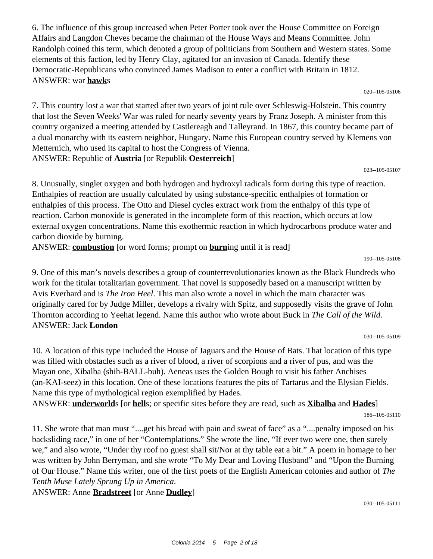6. The influence of this group increased when Peter Porter took over the House Committee on Foreign Affairs and Langdon Cheves became the chairman of the House Ways and Means Committee. John Randolph coined this term, which denoted a group of politicians from Southern and Western states. Some elements of this faction, led by Henry Clay, agitated for an invasion of Canada. Identify these Democratic-Republicans who convinced James Madison to enter a conflict with Britain in 1812. ANSWER: war **hawk**s

020--105-05106

7. This country lost a war that started after two years of joint rule over Schleswig-Holstein. This country that lost the Seven Weeks' War was ruled for nearly seventy years by Franz Joseph. A minister from this country organized a meeting attended by Castlereagh and Talleyrand. In 1867, this country became part of a dual monarchy with its eastern neighbor, Hungary. Name this European country served by Klemens von Metternich, who used its capital to host the Congress of Vienna. ANSWER: Republic of **Austria** [or Republik **Oesterreich**]

023--105-05107

8. Unusually, singlet oxygen and both hydrogen and hydroxyl radicals form during this type of reaction. Enthalpies of reaction are usually calculated by using substance-specific enthalpies of formation or enthalpies of this process. The Otto and Diesel cycles extract work from the enthalpy of this type of reaction. Carbon monoxide is generated in the incomplete form of this reaction, which occurs at low external oxygen concentrations. Name this exothermic reaction in which hydrocarbons produce water and carbon dioxide by burning.

ANSWER: **combustion** [or word forms; prompt on **burn**ing until it is read]

190--105-05108

9. One of this man's novels describes a group of counterrevolutionaries known as the Black Hundreds who work for the titular totalitarian government. That novel is supposedly based on a manuscript written by Avis Everhard and is *The Iron Heel*. This man also wrote a novel in which the main character was originally cared for by Judge Miller, develops a rivalry with Spitz, and supposedly visits the grave of John Thornton according to Yeehat legend. Name this author who wrote about Buck in *The Call of the Wild*. ANSWER: Jack **London**

030--105-05109

10. A location of this type included the House of Jaguars and the House of Bats. That location of this type was filled with obstacles such as a river of blood, a river of scorpions and a river of pus, and was the Mayan one, Xibalba (shih-BALL-buh). Aeneas uses the Golden Bough to visit his father Anchises (an-KAI-seez) in this location. One of these locations features the pits of Tartarus and the Elysian Fields. Name this type of mythological region exemplified by Hades.

ANSWER: **underworld**s [or **hell**s; or specific sites before they are read, such as **Xibalba** and **Hades**]

11. She wrote that man must "....get his bread with pain and sweat of face" as a "....penalty imposed on his backsliding race," in one of her "Contemplations." She wrote the line, "If ever two were one, then surely we," and also wrote, "Under thy roof no guest shall sit/Nor at thy table eat a bit." A poem in homage to her was written by John Berryman, and she wrote "To My Dear and Loving Husband" and "Upon the Burning of Our House." Name this writer, one of the first poets of the English American colonies and author of *The Tenth Muse Lately Sprung Up in America*.

ANSWER: Anne **Bradstreet** [or Anne **Dudley**]

<sup>186--105-05110</sup>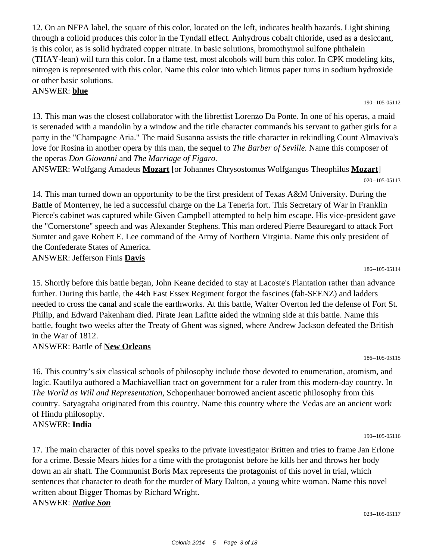12. On an NFPA label, the square of this color, located on the left, indicates health hazards. Light shining through a colloid produces this color in the Tyndall effect. Anhydrous cobalt chloride, used as a desiccant, is this color, as is solid hydrated copper nitrate. In basic solutions, bromothymol sulfone phthalein (THAY-lean) will turn this color. In a flame test, most alcohols will burn this color. In CPK modeling kits, nitrogen is represented with this color. Name this color into which litmus paper turns in sodium hydroxide or other basic solutions.

#### ANSWER: **blue**

13. This man was the closest collaborator with the librettist Lorenzo Da Ponte. In one of his operas, a maid is serenaded with a mandolin by a window and the title character commands his servant to gather girls for a party in the "Champagne Aria." The maid Susanna assists the title character in rekindling Count Almaviva's love for Rosina in another opera by this man, the sequel to *The Barber of Seville.* Name this composer of the operas *Don Giovanni* and *The Marriage of Figaro.*

ANSWER: Wolfgang Amadeus **Mozart** [or Johannes Chrysostomus Wolfgangus Theophilus **Mozart**] 020--105-05113

14. This man turned down an opportunity to be the first president of Texas A&M University. During the Battle of Monterrey, he led a successful charge on the La Teneria fort. This Secretary of War in Franklin Pierce's cabinet was captured while Given Campbell attempted to help him escape. His vice-president gave the "Cornerstone" speech and was Alexander Stephens. This man ordered Pierre Beauregard to attack Fort Sumter and gave Robert E. Lee command of the Army of Northern Virginia. Name this only president of the Confederate States of America.

ANSWER: Jefferson Finis **Davis**

186--105-05114

15. Shortly before this battle began, John Keane decided to stay at Lacoste's Plantation rather than advance further. During this battle, the 44th East Essex Regiment forgot the fascines (fah-SEENZ) and ladders needed to cross the canal and scale the earthworks. At this battle, Walter Overton led the defense of Fort St. Philip, and Edward Pakenham died. Pirate Jean Lafitte aided the winning side at this battle. Name this battle, fought two weeks after the Treaty of Ghent was signed, where Andrew Jackson defeated the British in the War of 1812.

# ANSWER: Battle of **New Orleans**

186--105-05115

16. This country's six classical schools of philosophy include those devoted to enumeration, atomism, and logic. Kautilya authored a Machiavellian tract on government for a ruler from this modern-day country. In *The World as Will and Representation,* Schopenhauer borrowed ancient ascetic philosophy from this country. Satyagraha originated from this country. Name this country where the Vedas are an ancient work of Hindu philosophy.

# ANSWER: **India**

17. The main character of this novel speaks to the private investigator Britten and tries to frame Jan Erlone for a crime. Bessie Mears hides for a time with the protagonist before he kills her and throws her body down an air shaft. The Communist Boris Max represents the protagonist of this novel in trial, which sentences that character to death for the murder of Mary Dalton, a young white woman. Name this novel written about Bigger Thomas by Richard Wright. ANSWER: *Native Son*

023--105-05117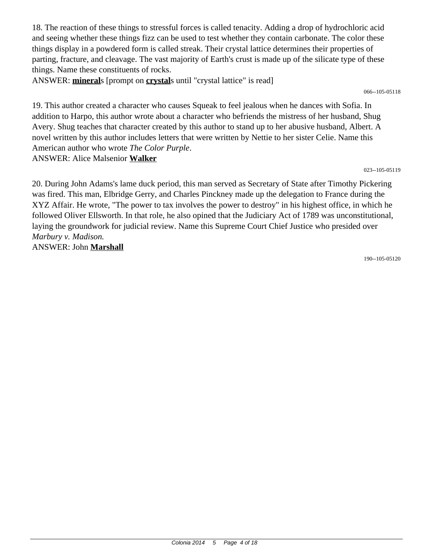18. The reaction of these things to stressful forces is called tenacity. Adding a drop of hydrochloric acid and seeing whether these things fizz can be used to test whether they contain carbonate. The color these things display in a powdered form is called streak. Their crystal lattice determines their properties of parting, fracture, and cleavage. The vast majority of Earth's crust is made up of the silicate type of these things. Name these constituents of rocks.

ANSWER: **mineral**s [prompt on **crystal**s until "crystal lattice" is read]

066--105-05118

19. This author created a character who causes Squeak to feel jealous when he dances with Sofia. In addition to Harpo, this author wrote about a character who befriends the mistress of her husband, Shug Avery. Shug teaches that character created by this author to stand up to her abusive husband, Albert. A novel written by this author includes letters that were written by Nettie to her sister Celie. Name this American author who wrote *The Color Purple*. ANSWER: Alice Malsenior **Walker**

023--105-05119

20. During John Adams's lame duck period, this man served as Secretary of State after Timothy Pickering was fired. This man, Elbridge Gerry, and Charles Pinckney made up the delegation to France during the XYZ Affair. He wrote, "The power to tax involves the power to destroy" in his highest office, in which he followed Oliver Ellsworth. In that role, he also opined that the Judiciary Act of 1789 was unconstitutional, laying the groundwork for judicial review. Name this Supreme Court Chief Justice who presided over *Marbury v. Madison.* ANSWER: John **Marshall**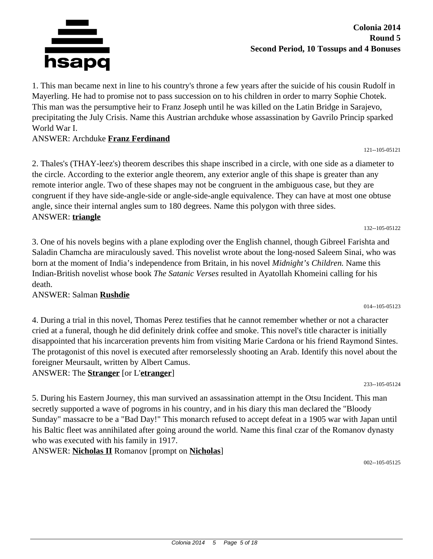

1. This man became next in line to his country's throne a few years after the suicide of his cousin Rudolf in Mayerling. He had to promise not to pass succession on to his children in order to marry Sophie Chotek. This man was the persumptive heir to Franz Joseph until he was killed on the Latin Bridge in Sarajevo, precipitating the July Crisis. Name this Austrian archduke whose assassination by Gavrilo Princip sparked World War I.

## ANSWER: Archduke **Franz Ferdinand**

2. Thales's (THAY-leez's) theorem describes this shape inscribed in a circle, with one side as a diameter to the circle. According to the exterior angle theorem, any exterior angle of this shape is greater than any remote interior angle. Two of these shapes may not be congruent in the ambiguous case, but they are congruent if they have side-angle-side or angle-side-angle equivalence. They can have at most one obtuse angle, since their internal angles sum to 180 degrees. Name this polygon with three sides. ANSWER: **triangle**

3. One of his novels begins with a plane exploding over the English channel, though Gibreel Farishta and Saladin Chamcha are miraculously saved. This novelist wrote about the long-nosed Saleem Sinai, who was born at the moment of India's independence from Britain, in his novel *Midnight's Children.* Name this Indian-British novelist whose book *The Satanic Verses* resulted in Ayatollah Khomeini calling for his death.

#### ANSWER: Salman **Rushdie**

4. During a trial in this novel, Thomas Perez testifies that he cannot remember whether or not a character cried at a funeral, though he did definitely drink coffee and smoke. This novel's title character is initially disappointed that his incarceration prevents him from visiting Marie Cardona or his friend Raymond Sintes. The protagonist of this novel is executed after remorselessly shooting an Arab. Identify this novel about the foreigner Meursault, written by Albert Camus.

ANSWER: The **Stranger** [or L'**etranger**]

233--105-05124

121--105-05121

132--105-05122

014--105-05123

5. During his Eastern Journey, this man survived an assassination attempt in the Otsu Incident. This man secretly supported a wave of pogroms in his country, and in his diary this man declared the "Bloody Sunday" massacre to be a "Bad Day!" This monarch refused to accept defeat in a 1905 war with Japan until his Baltic fleet was annihilated after going around the world. Name this final czar of the Romanov dynasty who was executed with his family in 1917.

ANSWER: **Nicholas II** Romanov [prompt on **Nicholas**]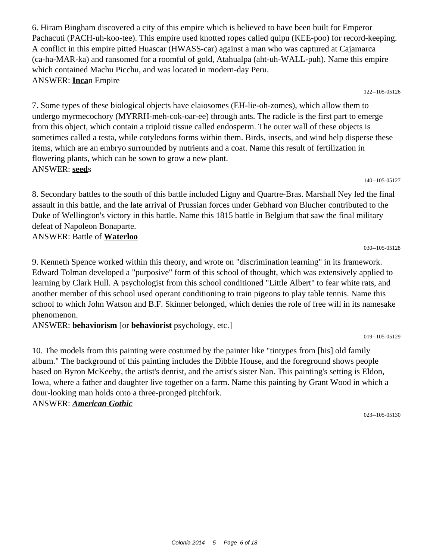6. Hiram Bingham discovered a city of this empire which is believed to have been built for Emperor Pachacuti (PACH-uh-koo-tee). This empire used knotted ropes called quipu (KEE-poo) for record-keeping. A conflict in this empire pitted Huascar (HWASS-car) against a man who was captured at Cajamarca (ca-ha-MAR-ka) and ransomed for a roomful of gold, Atahualpa (aht-uh-WALL-puh). Name this empire which contained Machu Picchu, and was located in modern-day Peru. ANSWER: **Inca**n Empire

122--105-05126

7. Some types of these biological objects have elaiosomes (EH-lie-oh-zomes), which allow them to undergo myrmecochory (MYRRH-meh-cok-oar-ee) through ants. The radicle is the first part to emerge from this object, which contain a triploid tissue called endosperm. The outer wall of these objects is sometimes called a testa, while cotyledons forms within them. Birds, insects, and wind help disperse these items, which are an embryo surrounded by nutrients and a coat. Name this result of fertilization in flowering plants, which can be sown to grow a new plant. ANSWER: **seed**s

140--105-05127

030--105-05128

8. Secondary battles to the south of this battle included Ligny and Quartre-Bras. Marshall Ney led the final assault in this battle, and the late arrival of Prussian forces under Gebhard von Blucher contributed to the Duke of Wellington's victory in this battle. Name this 1815 battle in Belgium that saw the final military defeat of Napoleon Bonaparte.

ANSWER: Battle of **Waterloo**

9. Kenneth Spence worked within this theory, and wrote on "discrimination learning" in its framework. Edward Tolman developed a "purposive" form of this school of thought, which was extensively applied to learning by Clark Hull. A psychologist from this school conditioned "Little Albert" to fear white rats, and another member of this school used operant conditioning to train pigeons to play table tennis. Name this school to which John Watson and B.F. Skinner belonged, which denies the role of free will in its namesake phenomenon.

ANSWER: **behaviorism** [or **behaviorist** psychology, etc.]

10. The models from this painting were costumed by the painter like "tintypes from [his] old family album." The background of this painting includes the Dibble House, and the foreground shows people based on Byron McKeeby, the artist's dentist, and the artist's sister Nan. This painting's setting is Eldon, Iowa, where a father and daughter live together on a farm. Name this painting by Grant Wood in which a dour-looking man holds onto a three-pronged pitchfork.

ANSWER: *American Gothic*

023--105-05130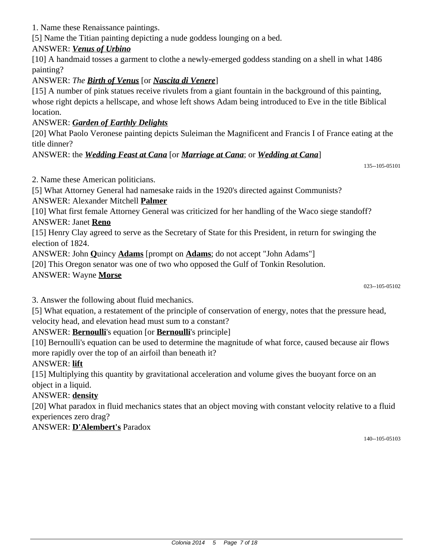1. Name these Renaissance paintings.

[5] Name the Titian painting depicting a nude goddess lounging on a bed.

# ANSWER: *Venus of Urbino*

[10] A handmaid tosses a garment to clothe a newly-emerged goddess standing on a shell in what 1486 painting?

# ANSWER: *The Birth of Venus* [or *Nascita di Venere*]

[15] A number of pink statues receive rivulets from a giant fountain in the background of this painting, whose right depicts a hellscape, and whose left shows Adam being introduced to Eve in the title Biblical location.

# ANSWER: *Garden of Earthly Delights*

[20] What Paolo Veronese painting depicts Suleiman the Magnificent and Francis I of France eating at the title dinner?

# ANSWER: the *Wedding Feast at Cana* [or *Marriage at Cana*; or *Wedding at Cana*]

135--105-05101

2. Name these American politicians.

[5] What Attorney General had namesake raids in the 1920's directed against Communists?

# ANSWER: Alexander Mitchell **Palmer**

[10] What first female Attorney General was criticized for her handling of the Waco siege standoff?

## ANSWER: Janet **Reno**

[15] Henry Clay agreed to serve as the Secretary of State for this President, in return for swinging the election of 1824.

ANSWER: John **Q**uincy **Adams** [prompt on **Adams**; do not accept "John Adams"]

[20] This Oregon senator was one of two who opposed the Gulf of Tonkin Resolution.

## ANSWER: Wayne **Morse**

023--105-05102

3. Answer the following about fluid mechanics.

[5] What equation, a restatement of the principle of conservation of energy, notes that the pressure head, velocity head, and elevation head must sum to a constant?

# ANSWER: **Bernoulli**'s equation [or **Bernoulli**'s principle]

[10] Bernoulli's equation can be used to determine the magnitude of what force, caused because air flows more rapidly over the top of an airfoil than beneath it?

#### ANSWER: **lift**

[15] Multiplying this quantity by gravitational acceleration and volume gives the buoyant force on an object in a liquid.

# ANSWER: **density**

[20] What paradox in fluid mechanics states that an object moving with constant velocity relative to a fluid experiences zero drag?

#### ANSWER: **D'Alembert's** Paradox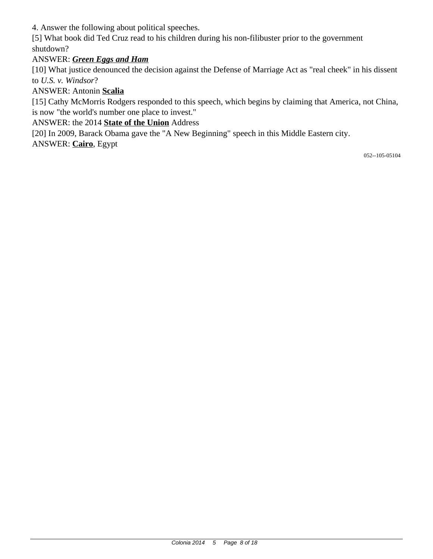4. Answer the following about political speeches.

[5] What book did Ted Cruz read to his children during his non-filibuster prior to the government shutdown?

# ANSWER: *Green Eggs and Ham*

[10] What justice denounced the decision against the Defense of Marriage Act as "real cheek" in his dissent to *U.S. v. Windsor*?

# ANSWER: Antonin **Scalia**

[15] Cathy McMorris Rodgers responded to this speech, which begins by claiming that America, not China, is now "the world's number one place to invest."

ANSWER: the 2014 **State of the Union** Address

[20] In 2009, Barack Obama gave the "A New Beginning" speech in this Middle Eastern city.

ANSWER: **Cairo**, Egypt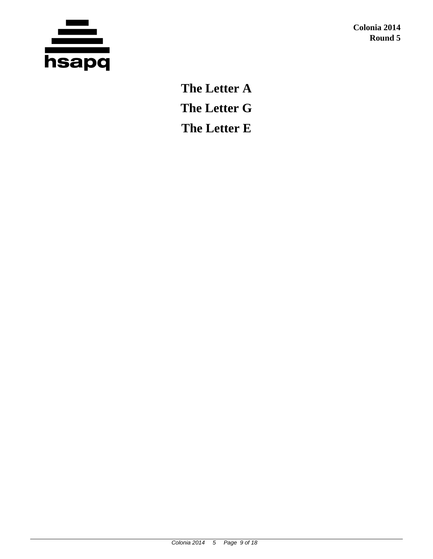

**Colonia 2014 Round 5**

**The Letter A The Letter G The Letter E**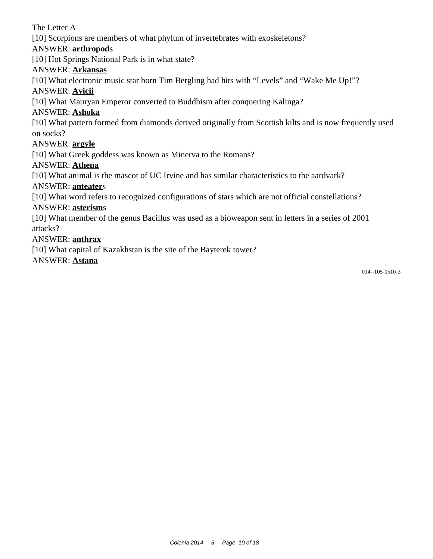## The Letter A

[10] Scorpions are members of what phylum of invertebrates with exoskeletons?

#### ANSWER: **arthropod**s

[10] Hot Springs National Park is in what state?

#### ANSWER: **Arkansas**

[10] What electronic music star born Tim Bergling had hits with "Levels" and "Wake Me Up!"?

#### ANSWER: **Avicii**

[10] What Mauryan Emperor converted to Buddhism after conquering Kalinga?

## ANSWER: **Ashoka**

[10] What pattern formed from diamonds derived originally from Scottish kilts and is now frequently used on socks?

### ANSWER: **argyle**

[10] What Greek goddess was known as Minerva to the Romans?

## ANSWER: **Athena**

[10] What animal is the mascot of UC Irvine and has similar characteristics to the aardvark?

## ANSWER: **anteater**s

[10] What word refers to recognized configurations of stars which are not official constellations?

#### ANSWER: **asterism**s

[10] What member of the genus Bacillus was used as a bioweapon sent in letters in a series of 2001 attacks?

## ANSWER: **anthrax**

[10] What capital of Kazakhstan is the site of the Bayterek tower?

ANSWER: **Astana**

014--105-0510-3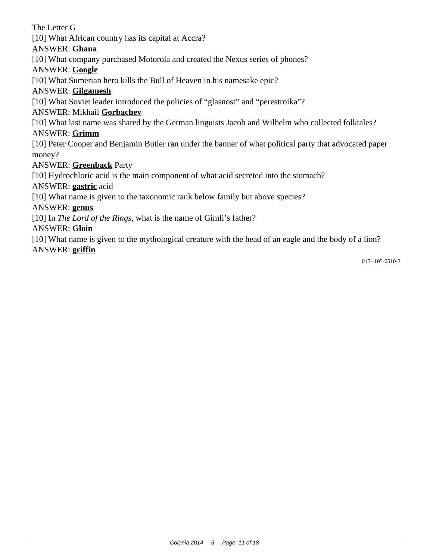The Letter G [10] What African country has its capital at Accra? ANSWER: **Ghana** [10] What company purchased Motorola and created the Nexus series of phones? ANSWER: **Google** [10] What Sumerian hero kills the Bull of Heaven in his namesake epic? ANSWER: **Gilgamesh** [10] What Soviet leader introduced the policies of "glasnost" and "perestroika"? ANSWER: Mikhail **Gorbachev** [10] What last name was shared by the German linguists Jacob and Wilhelm who collected folktales? ANSWER: **Grimm** [10] Peter Cooper and Benjamin Butler ran under the banner of what political party that advocated paper money? ANSWER: **Greenback** Party [10] Hydrochloric acid is the main component of what acid secreted into the stomach? ANSWER: **gastric** acid [10] What name is given to the taxonomic rank below family but above species? ANSWER: **genus** [10] In *The Lord of the Rings,* what is the name of Gimli's father? ANSWER: **Gloin** [10] What name is given to the mythological creature with the head of an eagle and the body of a lion? ANSWER: **griffin**

015--105-0510-3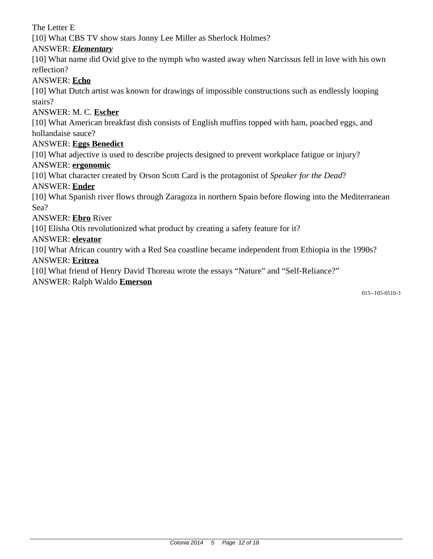The Letter E

[10] What CBS TV show stars Jonny Lee Miller as Sherlock Holmes?

# ANSWER: *Elementary*

[10] What name did Ovid give to the nymph who wasted away when Narcissus fell in love with his own reflection?

## ANSWER: **Echo**

[10] What Dutch artist was known for drawings of impossible constructions such as endlessly looping stairs?

## ANSWER: M. C. **Escher**

[10] What American breakfast dish consists of English muffins topped with ham, poached eggs, and hollandaise sauce?

### ANSWER: **Eggs Benedict**

[10] What adjective is used to describe projects designed to prevent workplace fatigue or injury?

#### ANSWER: **ergonomic**

[10] What character created by Orson Scott Card is the protagonist of *Speaker for the Dead*?

#### ANSWER: **Ender**

[10] What Spanish river flows through Zaragoza in northern Spain before flowing into the Mediterranean Sea?

#### ANSWER: **Ebro** River

[10] Elisha Otis revolutionized what product by creating a safety feature for it?

#### ANSWER: **elevator**

[10] What African country with a Red Sea coastline became independent from Ethiopia in the 1990s? ANSWER: **Eritrea**

[10] What friend of Henry David Thoreau wrote the essays "Nature" and "Self-Reliance?"

#### ANSWER: Ralph Waldo **Emerson**

015--105-0510-3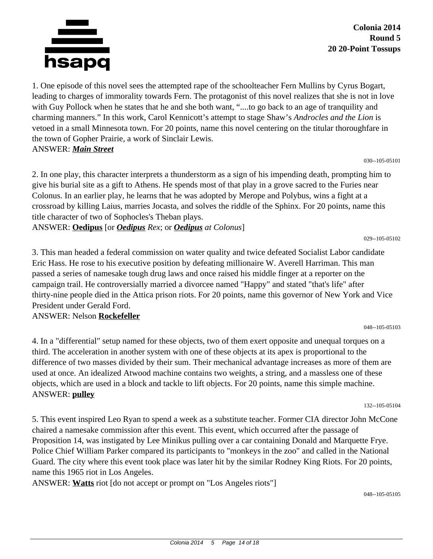

**Colonia 2014 Round 5 20 20-Point Tossups**

1. One episode of this novel sees the attempted rape of the schoolteacher Fern Mullins by Cyrus Bogart, leading to charges of immorality towards Fern. The protagonist of this novel realizes that she is not in love with Guy Pollock when he states that he and she both want, "....to go back to an age of tranquility and charming manners." In this work, Carol Kennicott's attempt to stage Shaw's *Androcles and the Lion* is vetoed in a small Minnesota town. For 20 points, name this novel centering on the titular thoroughfare in the town of Gopher Prairie, a work of Sinclair Lewis. ANSWER: *Main Street*

030--105-05101

2. In one play, this character interprets a thunderstorm as a sign of his impending death, prompting him to give his burial site as a gift to Athens. He spends most of that play in a grove sacred to the Furies near Colonus. In an earlier play, he learns that he was adopted by Merope and Polybus, wins a fight at a crossroad by killing Laius, marries Jocasta, and solves the riddle of the Sphinx. For 20 points, name this title character of two of Sophocles's Theban plays.

ANSWER: **Oedipus** [or *Oedipus Rex*; or *Oedipus at Colonus*]

029--105-05102

3. This man headed a federal commission on water quality and twice defeated Socialist Labor candidate Eric Hass. He rose to his executive position by defeating millionaire W. Averell Harriman. This man passed a series of namesake tough drug laws and once raised his middle finger at a reporter on the campaign trail. He controversially married a divorcee named "Happy" and stated "that's life" after thirty-nine people died in the Attica prison riots. For 20 points, name this governor of New York and Vice President under Gerald Ford.

#### ANSWER: Nelson **Rockefeller**

4. In a "differential" setup named for these objects, two of them exert opposite and unequal torques on a third. The acceleration in another system with one of these objects at its apex is proportional to the difference of two masses divided by their sum. Their mechanical advantage increases as more of them are used at once. An idealized Atwood machine contains two weights, a string, and a massless one of these objects, which are used in a block and tackle to lift objects. For 20 points, name this simple machine. ANSWER: **pulley**

132--105-05104

048--105-05103

5. This event inspired Leo Ryan to spend a week as a substitute teacher. Former CIA director John McCone chaired a namesake commission after this event. This event, which occurred after the passage of Proposition 14, was instigated by Lee Minikus pulling over a car containing Donald and Marquette Frye. Police Chief William Parker compared its participants to "monkeys in the zoo" and called in the National Guard. The city where this event took place was later hit by the similar Rodney King Riots. For 20 points, name this 1965 riot in Los Angeles.

ANSWER: **Watts** riot [do not accept or prompt on "Los Angeles riots"]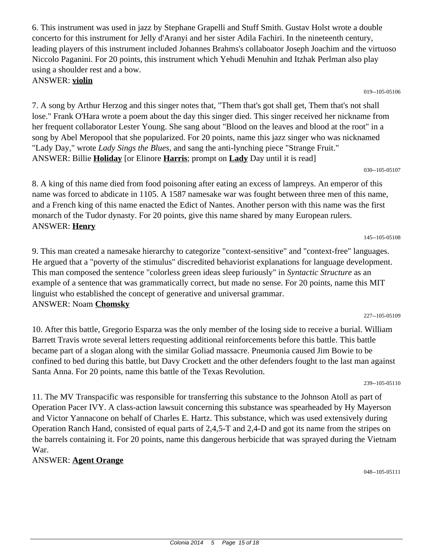6. This instrument was used in jazz by Stephane Grapelli and Stuff Smith. Gustav Holst wrote a double concerto for this instrument for Jelly d'Aranyi and her sister Adila Fachiri. In the nineteenth century, leading players of this instrument included Johannes Brahms's collaboator Joseph Joachim and the virtuoso Niccolo Paganini. For 20 points, this instrument which Yehudi Menuhin and Itzhak Perlman also play using a shoulder rest and a bow. ANSWER: **violin**

7. A song by Arthur Herzog and this singer notes that, "Them that's got shall get, Them that's not shall lose." Frank O'Hara wrote a poem about the day this singer died. This singer received her nickname from her frequent collaborator Lester Young. She sang about "Blood on the leaves and blood at the root" in a song by Abel Meropool that she popularized. For 20 points, name this jazz singer who was nicknamed "Lady Day," wrote *Lady Sings the Blues,* and sang the anti-lynching piece "Strange Fruit." ANSWER: Billie **Holiday** [or Elinore **Harris**; prompt on **Lady** Day until it is read]

8. A king of this name died from food poisoning after eating an excess of lampreys. An emperor of this name was forced to abdicate in 1105. A 1587 namesake war was fought between three men of this name, and a French king of this name enacted the Edict of Nantes. Another person with this name was the first monarch of the Tudor dynasty. For 20 points, give this name shared by many European rulers. ANSWER: **Henry**

9. This man created a namesake hierarchy to categorize "context-sensitive" and "context-free" languages. He argued that a "poverty of the stimulus" discredited behaviorist explanations for language development. This man composed the sentence "colorless green ideas sleep furiously" in *Syntactic Structure* as an example of a sentence that was grammatically correct, but made no sense. For 20 points, name this MIT linguist who established the concept of generative and universal grammar. ANSWER: Noam **Chomsky**

10. After this battle, Gregorio Esparza was the only member of the losing side to receive a burial. William Barrett Travis wrote several letters requesting additional reinforcements before this battle. This battle became part of a slogan along with the similar Goliad massacre. Pneumonia caused Jim Bowie to be confined to bed during this battle, but Davy Crockett and the other defenders fought to the last man against Santa Anna. For 20 points, name this battle of the Texas Revolution.

11. The MV Transpacific was responsible for transferring this substance to the Johnson Atoll as part of Operation Pacer IVY. A class-action lawsuit concerning this substance was spearheaded by Hy Mayerson and Victor Yannacone on behalf of Charles E. Hartz. This substance, which was used extensively during Operation Ranch Hand, consisted of equal parts of 2,4,5-T and 2,4-D and got its name from the stripes on the barrels containing it. For 20 points, name this dangerous herbicide that was sprayed during the Vietnam War.

# ANSWER: **Agent Orange**

048--105-05111

#### 145--105-05108

030--105-05107

#### 019--105-05106

227--105-05109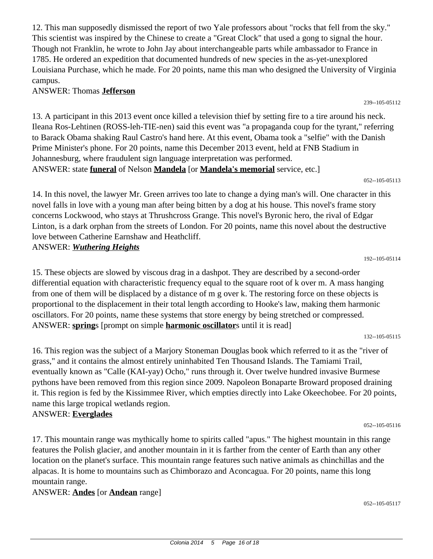12. This man supposedly dismissed the report of two Yale professors about "rocks that fell from the sky." This scientist was inspired by the Chinese to create a "Great Clock" that used a gong to signal the hour. Though not Franklin, he wrote to John Jay about interchangeable parts while ambassador to France in 1785. He ordered an expedition that documented hundreds of new species in the as-yet-unexplored Louisiana Purchase, which he made. For 20 points, name this man who designed the University of Virginia campus.

#### ANSWER: Thomas **Jefferson**

13. A participant in this 2013 event once killed a television thief by setting fire to a tire around his neck. Ileana Ros-Lehtinen (ROSS-leh-TIE-nen) said this event was "a propaganda coup for the tyrant," referring to Barack Obama shaking Raul Castro's hand here. At this event, Obama took a "selfie" with the Danish Prime Minister's phone. For 20 points, name this December 2013 event, held at FNB Stadium in Johannesburg, where fraudulent sign language interpretation was performed. ANSWER: state **funeral** of Nelson **Mandela** [or **Mandela's memorial** service, etc.]

052--105-05113

239--105-05112

14. In this novel, the lawyer Mr. Green arrives too late to change a dying man's will. One character in this novel falls in love with a young man after being bitten by a dog at his house. This novel's frame story concerns Lockwood, who stays at Thrushcross Grange. This novel's Byronic hero, the rival of Edgar Linton, is a dark orphan from the streets of London. For 20 points, name this novel about the destructive love between Catherine Earnshaw and Heathcliff. ANSWER: *Wuthering Heights*

192--105-05114

15. These objects are slowed by viscous drag in a dashpot. They are described by a second-order differential equation with characteristic frequency equal to the square root of k over m. A mass hanging from one of them will be displaced by a distance of m g over k. The restoring force on these objects is proportional to the displacement in their total length according to Hooke's law, making them harmonic oscillators. For 20 points, name these systems that store energy by being stretched or compressed. ANSWER: **spring**s [prompt on simple **harmonic oscillator**s until it is read]

132--105-05115

16. This region was the subject of a Marjory Stoneman Douglas book which referred to it as the "river of grass," and it contains the almost entirely uninhabited Ten Thousand Islands. The Tamiami Trail, eventually known as "Calle (KAI-yay) Ocho," runs through it. Over twelve hundred invasive Burmese pythons have been removed from this region since 2009. Napoleon Bonaparte Broward proposed draining it. This region is fed by the Kissimmee River, which empties directly into Lake Okeechobee. For 20 points, name this large tropical wetlands region.

# ANSWER: **Everglades**

052--105-05116

17. This mountain range was mythically home to spirits called "apus." The highest mountain in this range features the Polish glacier, and another mountain in it is farther from the center of Earth than any other location on the planet's surface. This mountain range features such native animals as chinchillas and the alpacas. It is home to mountains such as Chimborazo and Aconcagua. For 20 points, name this long mountain range.

#### ANSWER: **Andes** [or **Andean** range]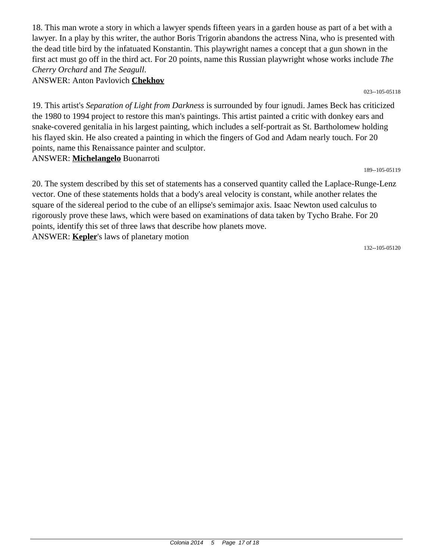18. This man wrote a story in which a lawyer spends fifteen years in a garden house as part of a bet with a lawyer. In a play by this writer, the author Boris Trigorin abandons the actress Nina, who is presented with the dead title bird by the infatuated Konstantin. This playwright names a concept that a gun shown in the first act must go off in the third act. For 20 points, name this Russian playwright whose works include *The Cherry Orchard* and *The Seagull*. ANSWER: Anton Pavlovich **Chekhov**

023--105-05118

19. This artist's *Separation of Light from Darkness* is surrounded by four ignudi. James Beck has criticized the 1980 to 1994 project to restore this man's paintings. This artist painted a critic with donkey ears and snake-covered genitalia in his largest painting, which includes a self-portrait as St. Bartholomew holding his flayed skin. He also created a painting in which the fingers of God and Adam nearly touch. For 20 points, name this Renaissance painter and sculptor. ANSWER: **Michelangelo** Buonarroti

189--105-05119

20. The system described by this set of statements has a conserved quantity called the Laplace-Runge-Lenz vector. One of these statements holds that a body's areal velocity is constant, while another relates the square of the sidereal period to the cube of an ellipse's semimajor axis. Isaac Newton used calculus to rigorously prove these laws, which were based on examinations of data taken by Tycho Brahe. For 20 points, identify this set of three laws that describe how planets move. ANSWER: **Kepler**'s laws of planetary motion